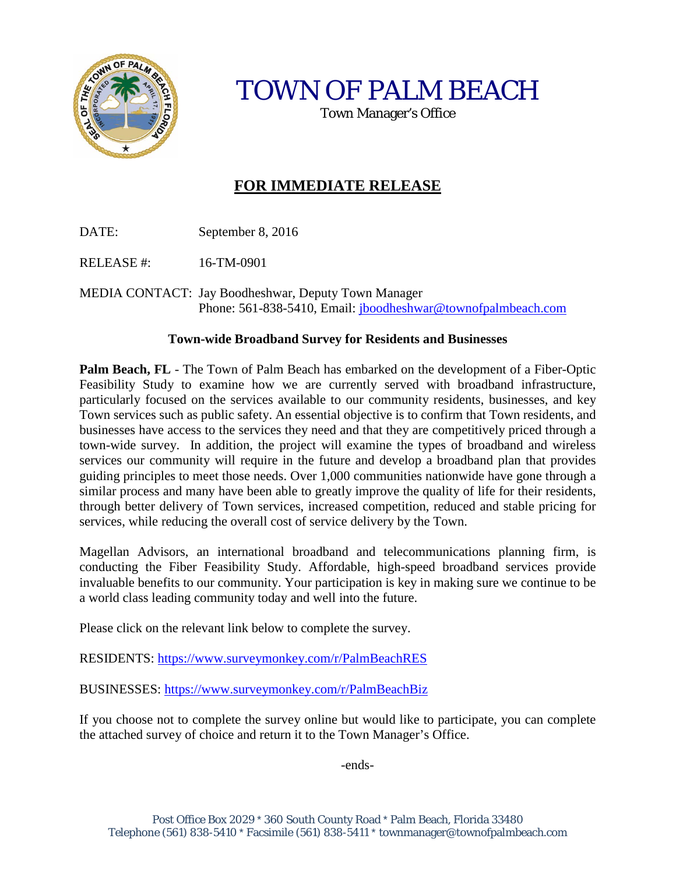

TOWN OF PALM BEACH

Town Manager's Office

# **FOR IMMEDIATE RELEASE**

DATE: September 8, 2016

RELEASE #: 16-TM-0901

MEDIA CONTACT: Jay Boodheshwar, Deputy Town Manager Phone: 561-838-5410, Email: [jboodheshwar@townofpalmbeach.com](mailto:jboodheshwar@townofpalmbeach.com)

#### **Town-wide Broadband Survey for Residents and Businesses**

**Palm Beach, FL** - The Town of Palm Beach has embarked on the development of a Fiber-Optic Feasibility Study to examine how we are currently served with broadband infrastructure, particularly focused on the services available to our community residents, businesses, and key Town services such as public safety. An essential objective is to confirm that Town residents, and businesses have access to the services they need and that they are competitively priced through a town-wide survey. In addition, the project will examine the types of broadband and wireless services our community will require in the future and develop a broadband plan that provides guiding principles to meet those needs. Over 1,000 communities nationwide have gone through a similar process and many have been able to greatly improve the quality of life for their residents, through better delivery of Town services, increased competition, reduced and stable pricing for services, while reducing the overall cost of service delivery by the Town.

Magellan Advisors, an international broadband and telecommunications planning firm, is conducting the Fiber Feasibility Study. Affordable, high-speed broadband services provide invaluable benefits to our community. Your participation is key in making sure we continue to be a world class leading community today and well into the future.

Please click on the relevant link below to complete the survey.

RESIDENTS:<https://www.surveymonkey.com/r/PalmBeachRES>

BUSINESSES:<https://www.surveymonkey.com/r/PalmBeachBiz>

If you choose not to complete the survey online but would like to participate, you can complete the attached survey of choice and return it to the Town Manager's Office.

-ends-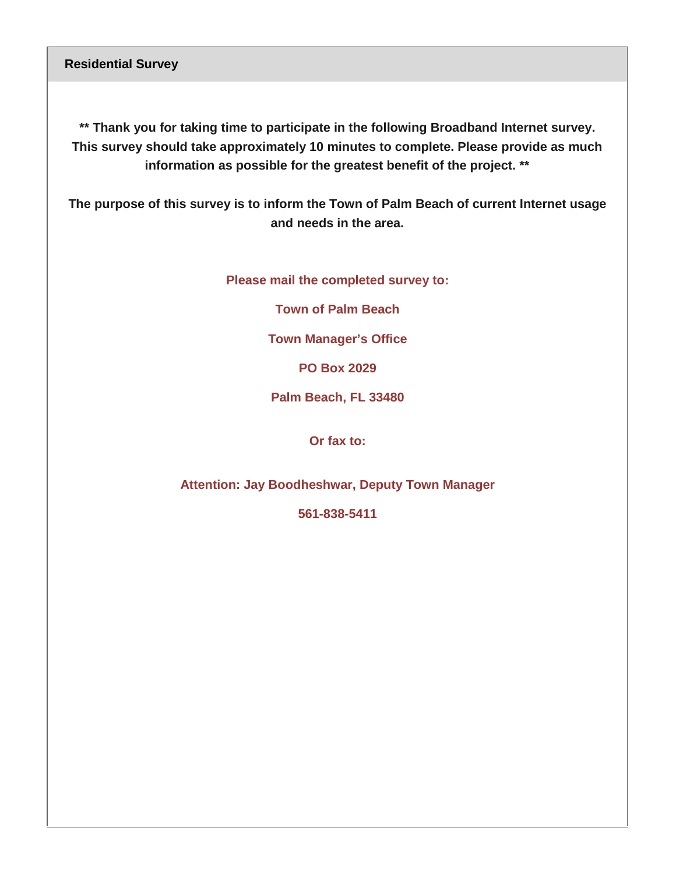**Residential Survey** 

**\*\* Thank you for taking time to participate in the following Broadband Internet survey. This survey should take approximately 10 minutes to complete. Please provide as much information as possible for the greatest benefit of the project. \*\***

**The purpose of this survey is to inform the Town of Palm Beach of current Internet usage and needs in the area.**

**Please mail the completed survey to:**

**Town of Palm Beach** 

**Town Manager's Office**

**PO Box 2029**

**Palm Beach, FL 33480**

**Or fax to:**

**Attention: Jay Boodheshwar, Deputy Town Manager**

**561-838-5411**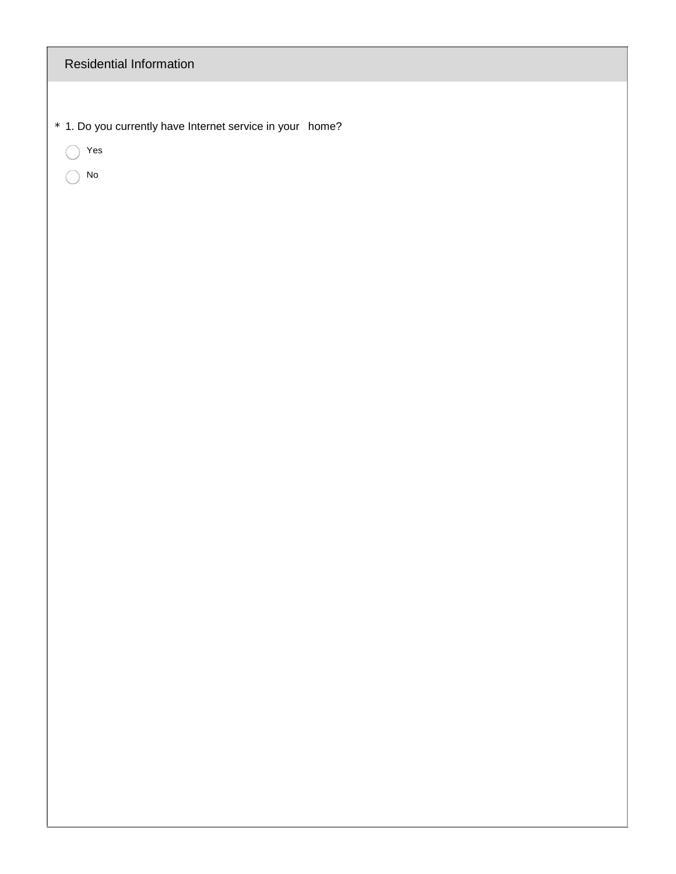| Residential Information                                   |
|-----------------------------------------------------------|
|                                                           |
| * 1. Do you currently have Internet service in your home? |
| $\operatorname{\mathsf{Yes}}$<br>◯<br>${\sf No}$          |
|                                                           |
|                                                           |
|                                                           |
|                                                           |
|                                                           |
|                                                           |
|                                                           |
|                                                           |
|                                                           |
|                                                           |
|                                                           |
|                                                           |
|                                                           |
|                                                           |
|                                                           |
|                                                           |
|                                                           |
|                                                           |
|                                                           |
|                                                           |
|                                                           |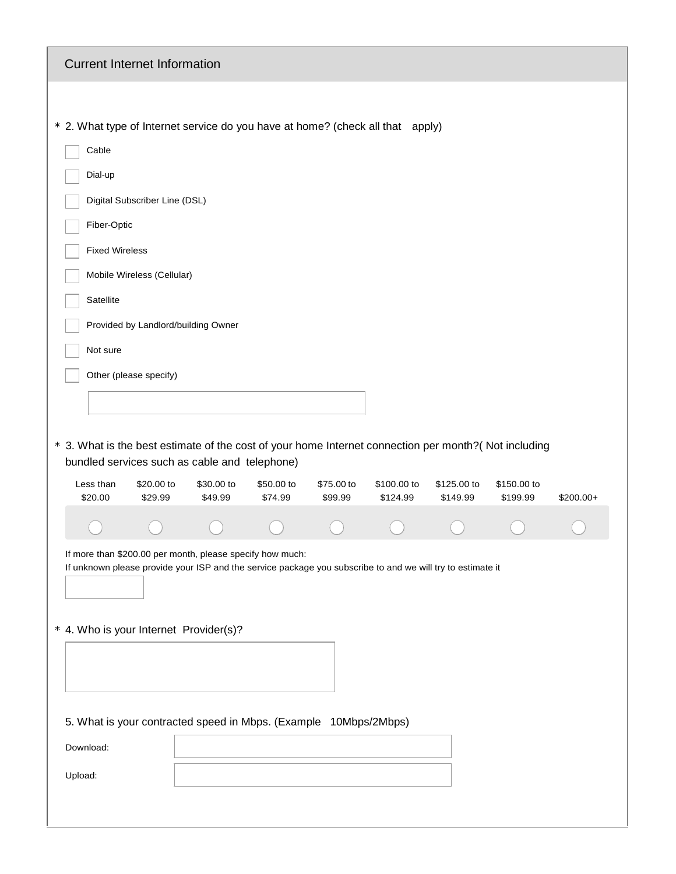| <b>Current Internet Information</b>                                                                                                                                                                               |                       |                       |                       |                         |                         |                         |            |
|-------------------------------------------------------------------------------------------------------------------------------------------------------------------------------------------------------------------|-----------------------|-----------------------|-----------------------|-------------------------|-------------------------|-------------------------|------------|
|                                                                                                                                                                                                                   |                       |                       |                       |                         |                         |                         |            |
| * 2. What type of Internet service do you have at home? (check all that apply)                                                                                                                                    |                       |                       |                       |                         |                         |                         |            |
| Cable                                                                                                                                                                                                             |                       |                       |                       |                         |                         |                         |            |
| Dial-up                                                                                                                                                                                                           |                       |                       |                       |                         |                         |                         |            |
| Digital Subscriber Line (DSL)                                                                                                                                                                                     |                       |                       |                       |                         |                         |                         |            |
| Fiber-Optic                                                                                                                                                                                                       |                       |                       |                       |                         |                         |                         |            |
| <b>Fixed Wireless</b>                                                                                                                                                                                             |                       |                       |                       |                         |                         |                         |            |
| Mobile Wireless (Cellular)                                                                                                                                                                                        |                       |                       |                       |                         |                         |                         |            |
| Satellite                                                                                                                                                                                                         |                       |                       |                       |                         |                         |                         |            |
| Provided by Landlord/building Owner                                                                                                                                                                               |                       |                       |                       |                         |                         |                         |            |
| Not sure                                                                                                                                                                                                          |                       |                       |                       |                         |                         |                         |            |
| Other (please specify)                                                                                                                                                                                            |                       |                       |                       |                         |                         |                         |            |
|                                                                                                                                                                                                                   |                       |                       |                       |                         |                         |                         |            |
|                                                                                                                                                                                                                   |                       |                       |                       |                         |                         |                         |            |
| * 3. What is the best estimate of the cost of your home Internet connection per month?(Not including<br>bundled services such as cable and telephone)                                                             |                       |                       |                       |                         |                         |                         |            |
| Less than<br>\$20.00 to<br>\$29.99<br>\$20.00                                                                                                                                                                     | \$30.00 to<br>\$49.99 | \$50.00 to<br>\$74.99 | \$75.00 to<br>\$99.99 | \$100.00 to<br>\$124.99 | \$125.00 to<br>\$149.99 | \$150.00 to<br>\$199.99 | $$200.00+$ |
|                                                                                                                                                                                                                   |                       |                       |                       |                         |                         |                         |            |
| If more than \$200.00 per month, please specify how much:<br>If unknown please provide your ISP and the service package you subscribe to and we will try to estimate it<br>* 4. Who is your Internet Provider(s)? |                       |                       |                       |                         |                         |                         |            |
| 5. What is your contracted speed in Mbps. (Example 10Mbps/2Mbps)<br>Download:<br>Upload:                                                                                                                          |                       |                       |                       |                         |                         |                         |            |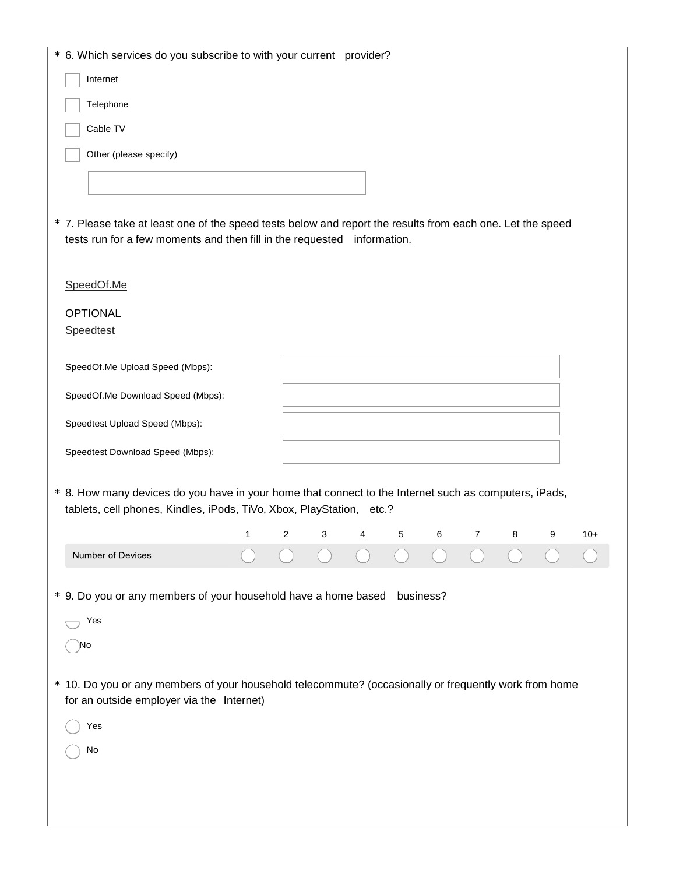| * 6. Which services do you subscribe to with your current provider?                                                                                                                   |   |   |   |   |   |           |                |   |   |       |
|---------------------------------------------------------------------------------------------------------------------------------------------------------------------------------------|---|---|---|---|---|-----------|----------------|---|---|-------|
| Internet                                                                                                                                                                              |   |   |   |   |   |           |                |   |   |       |
| Telephone                                                                                                                                                                             |   |   |   |   |   |           |                |   |   |       |
| Cable TV                                                                                                                                                                              |   |   |   |   |   |           |                |   |   |       |
| Other (please specify)                                                                                                                                                                |   |   |   |   |   |           |                |   |   |       |
|                                                                                                                                                                                       |   |   |   |   |   |           |                |   |   |       |
|                                                                                                                                                                                       |   |   |   |   |   |           |                |   |   |       |
| * 7. Please take at least one of the speed tests below and report the results from each one. Let the speed<br>tests run for a few moments and then fill in the requested information. |   |   |   |   |   |           |                |   |   |       |
| SpeedOf.Me                                                                                                                                                                            |   |   |   |   |   |           |                |   |   |       |
|                                                                                                                                                                                       |   |   |   |   |   |           |                |   |   |       |
| <b>OPTIONAL</b><br>Speedtest                                                                                                                                                          |   |   |   |   |   |           |                |   |   |       |
|                                                                                                                                                                                       |   |   |   |   |   |           |                |   |   |       |
| SpeedOf.Me Upload Speed (Mbps):                                                                                                                                                       |   |   |   |   |   |           |                |   |   |       |
| SpeedOf.Me Download Speed (Mbps):                                                                                                                                                     |   |   |   |   |   |           |                |   |   |       |
| Speedtest Upload Speed (Mbps):                                                                                                                                                        |   |   |   |   |   |           |                |   |   |       |
| Speedtest Download Speed (Mbps):                                                                                                                                                      |   |   |   |   |   |           |                |   |   |       |
|                                                                                                                                                                                       |   |   |   |   |   |           |                |   |   |       |
| * 8. How many devices do you have in your home that connect to the Internet such as computers, iPads,<br>tablets, cell phones, Kindles, iPods, TiVo, Xbox, PlayStation, etc.?         |   |   |   |   |   |           |                |   |   |       |
|                                                                                                                                                                                       | 1 | 2 | 3 | 4 | 5 | 6         | $\overline{7}$ | 8 | 9 | $10+$ |
| Number of Devices                                                                                                                                                                     |   |   |   |   |   |           |                |   |   |       |
| * 9. Do you or any members of your household have a home based                                                                                                                        |   |   |   |   |   | business? |                |   |   |       |
|                                                                                                                                                                                       |   |   |   |   |   |           |                |   |   |       |
| Yes<br>)No                                                                                                                                                                            |   |   |   |   |   |           |                |   |   |       |
|                                                                                                                                                                                       |   |   |   |   |   |           |                |   |   |       |
| * 10. Do you or any members of your household telecommute? (occasionally or frequently work from home<br>for an outside employer via the Internet)                                    |   |   |   |   |   |           |                |   |   |       |
| Yes                                                                                                                                                                                   |   |   |   |   |   |           |                |   |   |       |
| No                                                                                                                                                                                    |   |   |   |   |   |           |                |   |   |       |
|                                                                                                                                                                                       |   |   |   |   |   |           |                |   |   |       |
|                                                                                                                                                                                       |   |   |   |   |   |           |                |   |   |       |
|                                                                                                                                                                                       |   |   |   |   |   |           |                |   |   |       |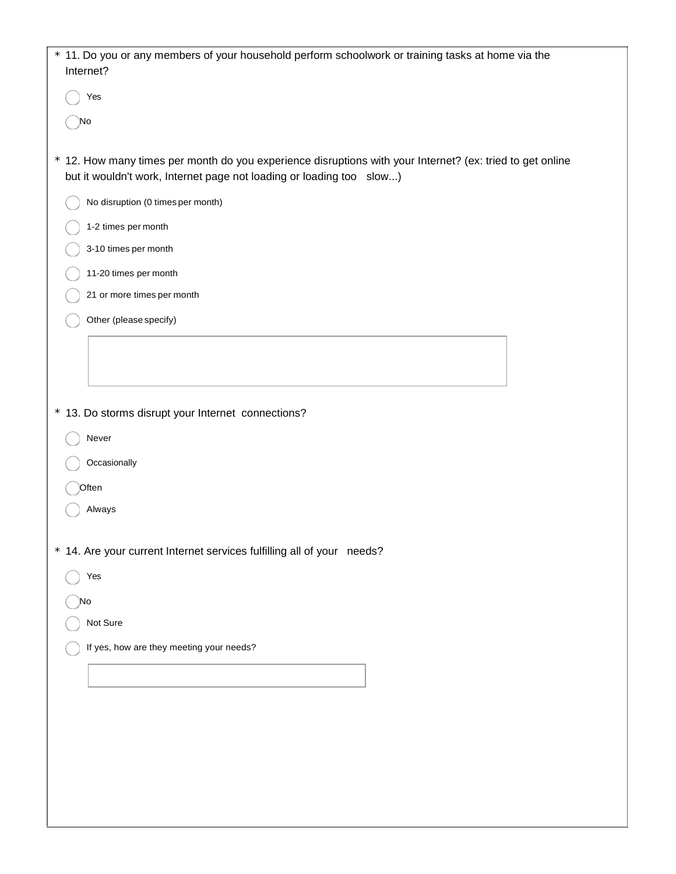| * 11. Do you or any members of your household perform schoolwork or training tasks at home via the<br>Internet?                                                                   |
|-----------------------------------------------------------------------------------------------------------------------------------------------------------------------------------|
| Yes                                                                                                                                                                               |
| )No                                                                                                                                                                               |
| * 12. How many times per month do you experience disruptions with your Internet? (ex: tried to get online<br>but it wouldn't work, Internet page not loading or loading too slow) |
| No disruption (0 times per month)                                                                                                                                                 |
| 1-2 times per month                                                                                                                                                               |
| 3-10 times per month                                                                                                                                                              |
| 11-20 times per month                                                                                                                                                             |
| 21 or more times per month                                                                                                                                                        |
| Other (please specify)                                                                                                                                                            |
|                                                                                                                                                                                   |
|                                                                                                                                                                                   |
|                                                                                                                                                                                   |
| * 13. Do storms disrupt your Internet connections?                                                                                                                                |
| Never                                                                                                                                                                             |
| Occasionally                                                                                                                                                                      |
| Often                                                                                                                                                                             |
| Always                                                                                                                                                                            |
| * 14. Are your current Internet services fulfilling all of your needs?                                                                                                            |
| Yes                                                                                                                                                                               |
| )No                                                                                                                                                                               |
| Not Sure                                                                                                                                                                          |
| If yes, how are they meeting your needs?                                                                                                                                          |
|                                                                                                                                                                                   |
|                                                                                                                                                                                   |
|                                                                                                                                                                                   |
|                                                                                                                                                                                   |
|                                                                                                                                                                                   |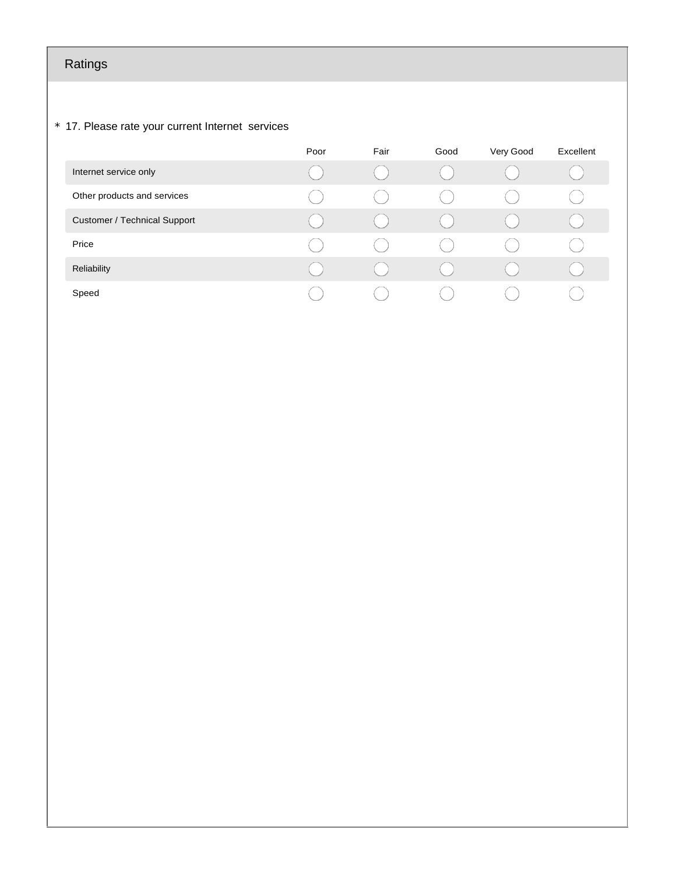# Ratings

#### \* 17. Please rate your current Internet services

|                                     | Poor | Fair | Good | Very Good | Excellent |
|-------------------------------------|------|------|------|-----------|-----------|
| Internet service only               |      |      |      |           |           |
| Other products and services         |      |      |      |           |           |
| <b>Customer / Technical Support</b> |      |      |      |           |           |
| Price                               |      |      |      |           |           |
| Reliability                         |      |      |      |           |           |
| Speed                               |      |      |      |           |           |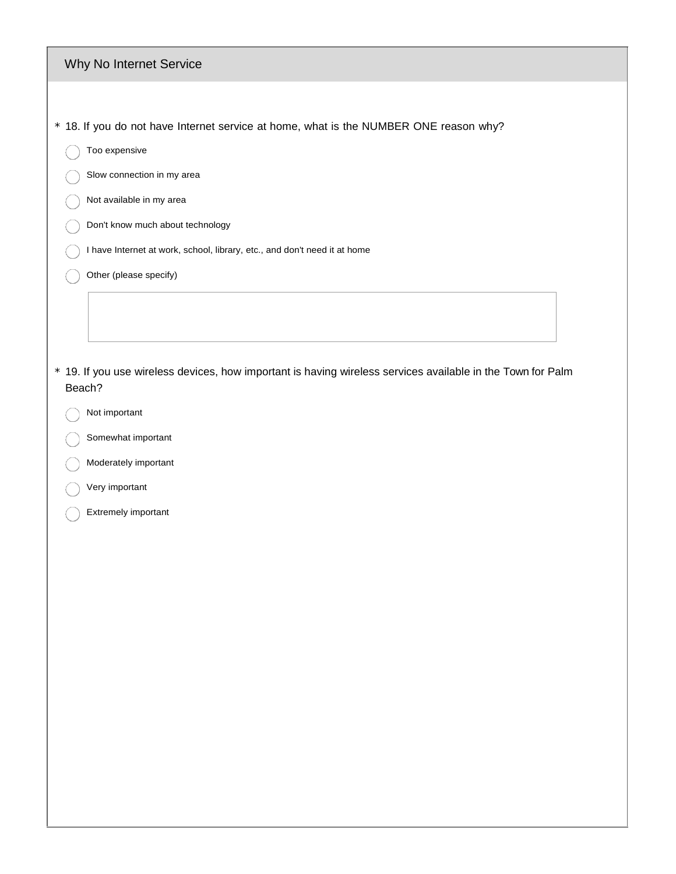| Why No Internet Service |  |  |
|-------------------------|--|--|
|-------------------------|--|--|

- \* 18. If you do not have Internet service at home, what is the NUMBER ONE reason why?
	- Too expensive

€

- Slow connection in my area
- Not available in my area
- Don't know much about technology €
	- I have Internet at work, school, library, etc., and don't need it at home
	- Other (please specify)
- \* 19. If you use wireless devices, how important is having wireless services available in the Town for Palm Beach?
	- Not important €
	- Somewhat important
	- Moderately important
	- Very important
	- Extremely important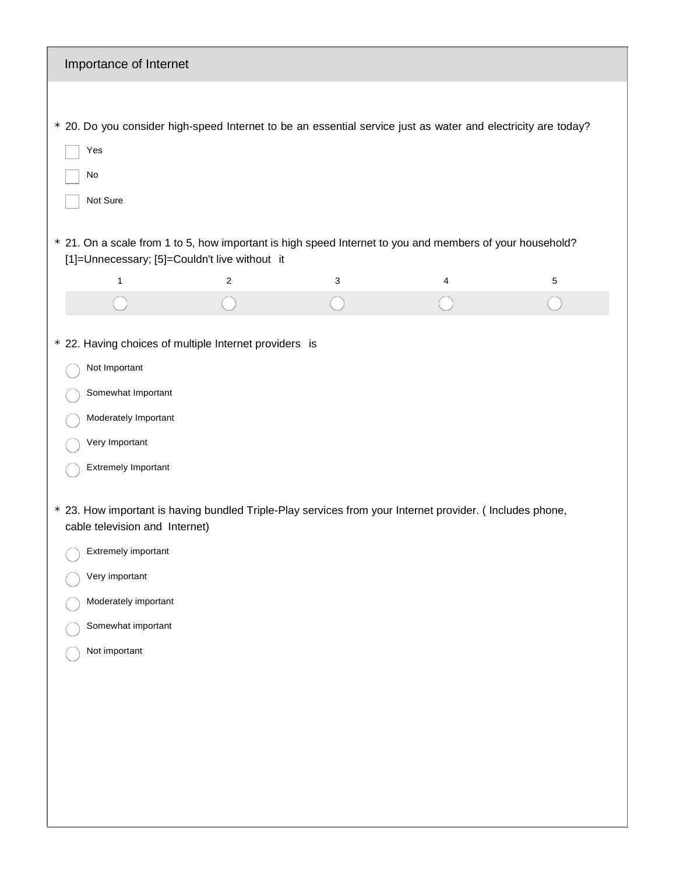| Importance of Internet                                                                                                                                                                                                                                                                                                                                                                                               |                |   |   |   |
|----------------------------------------------------------------------------------------------------------------------------------------------------------------------------------------------------------------------------------------------------------------------------------------------------------------------------------------------------------------------------------------------------------------------|----------------|---|---|---|
| * 20. Do you consider high-speed Internet to be an essential service just as water and electricity are today?<br>Yes<br>No<br>Not Sure                                                                                                                                                                                                                                                                               |                |   |   |   |
| * 21. On a scale from 1 to 5, how important is high speed Internet to you and members of your household?<br>[1]=Unnecessary; [5]=Couldn't live without it                                                                                                                                                                                                                                                            |                |   |   |   |
| $\mathbf{1}$                                                                                                                                                                                                                                                                                                                                                                                                         | $\overline{2}$ | 3 | 4 | 5 |
|                                                                                                                                                                                                                                                                                                                                                                                                                      |                |   |   |   |
| * 22. Having choices of multiple Internet providers is<br>Not Important<br>Somewhat Important<br>Moderately Important<br>Very Important<br>Extremely Important<br>* 23. How important is having bundled Triple-Play services from your Internet provider. (Includes phone,<br>cable television and Internet)<br>Extremely important<br>Very important<br>Moderately important<br>Somewhat important<br>Not important |                |   |   |   |
|                                                                                                                                                                                                                                                                                                                                                                                                                      |                |   |   |   |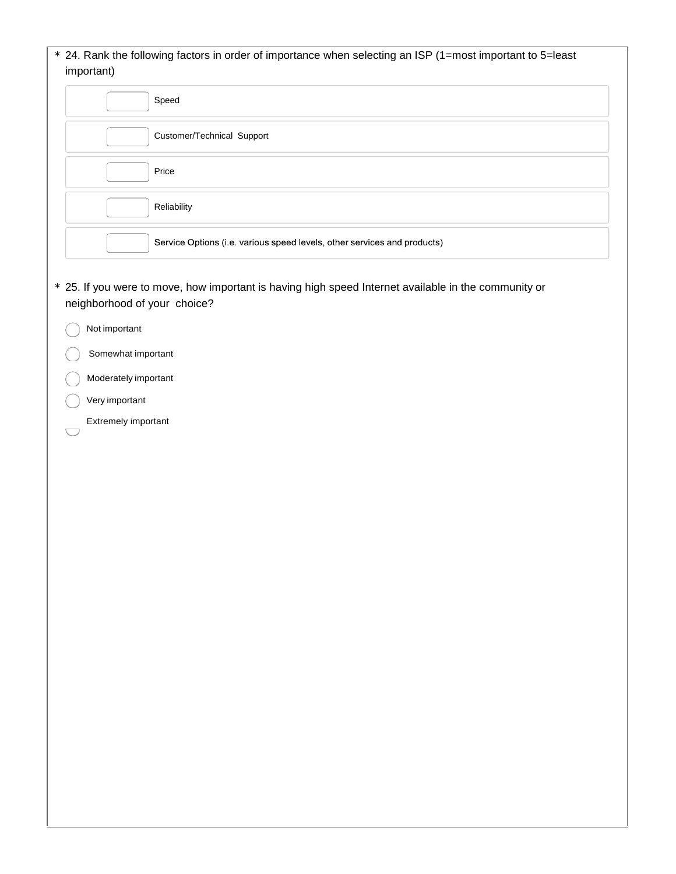#### \* 24. Rank the following factors in order of importance when selecting an ISP (1=most important to 5=least important)

| Speed                                                                    |
|--------------------------------------------------------------------------|
| Customer/Technical Support                                               |
| Price                                                                    |
| Reliability                                                              |
| Service Options (i.e. various speed levels, other services and products) |

- \* 25. If you were to move, how important is having high speed Internet available in the community or neighborhood of your choice?
	- Not important
		- Somewhat important
	- Moderately important
	- Very important

 $\bigcup$ 

Extremely important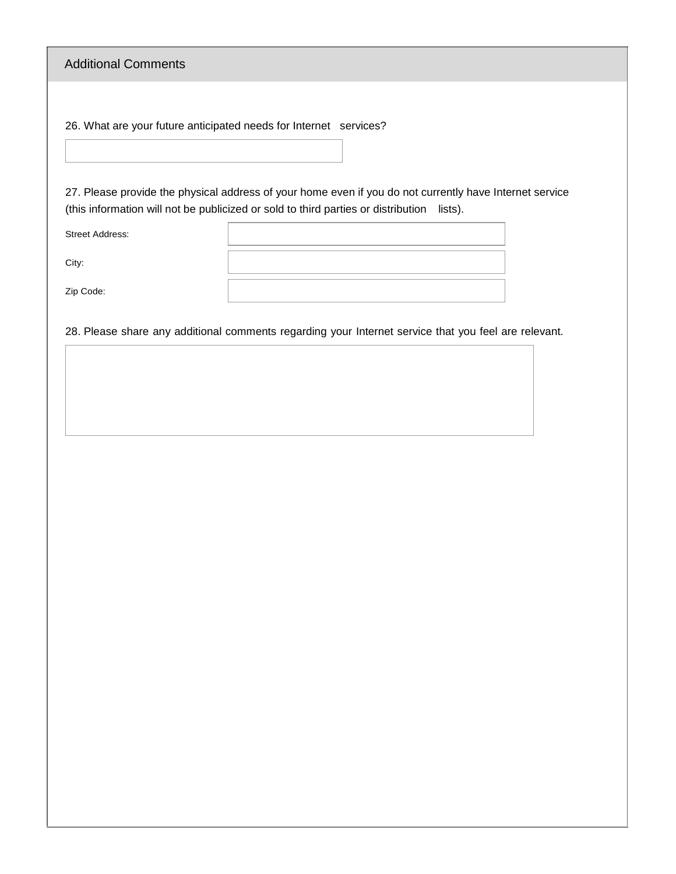Additional Comments

26. What are your future anticipated needs for Internet services?

27. Please provide the physical address of your home even if you do not currently have Internet service (this information will not be publicized or sold to third parties or distribution lists).

Street Address:

City:

Zip Code:

28. Please share any additional comments regarding your Internet service that you feel are relevant.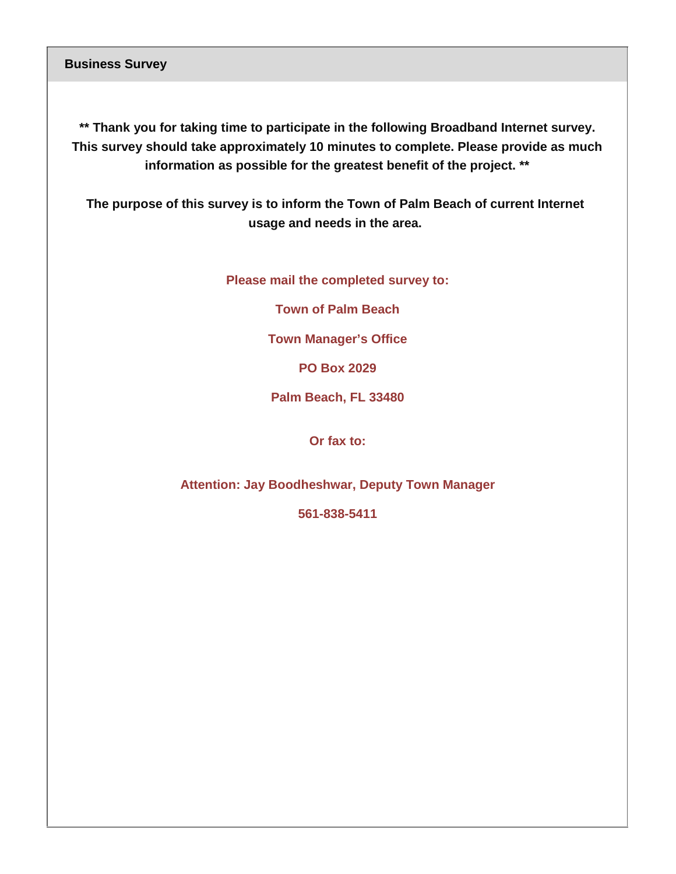**Business Survey**

**\*\* Thank you for taking time to participate in the following Broadband Internet survey. This survey should take approximately 10 minutes to complete. Please provide as much information as possible for the greatest benefit of the project. \*\***

**The purpose of this survey is to inform the Town of Palm Beach of current Internet usage and needs in the area.**

**Please mail the completed survey to:**

**Town of Palm Beach** 

**Town Manager's Office**

**PO Box 2029**

**Palm Beach, FL 33480**

**Or fax to:**

**Attention: Jay Boodheshwar, Deputy Town Manager**

**561-838-5411**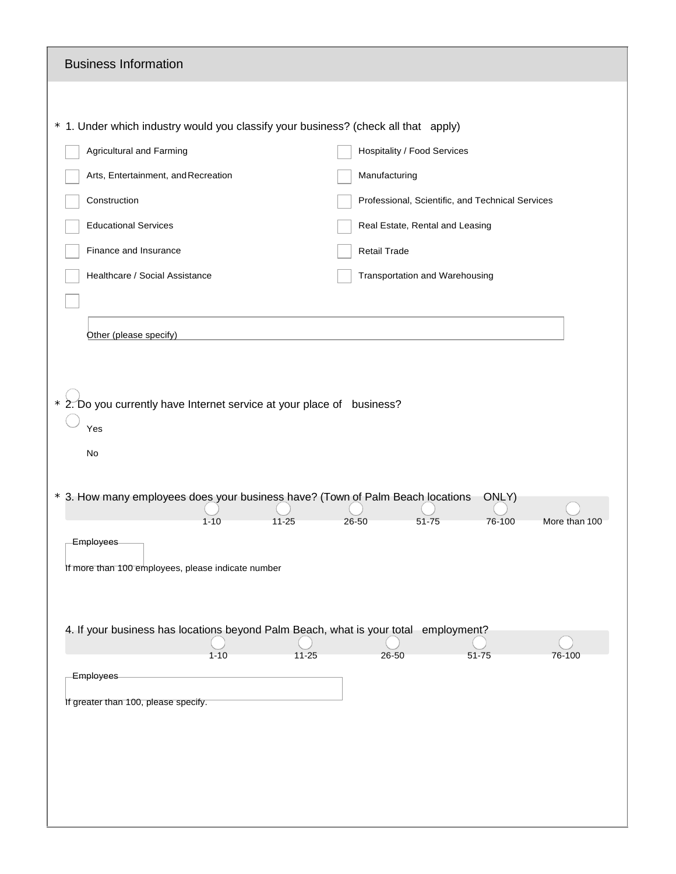| <b>Business Information</b>                                                                                                                                               |                                                  |               |
|---------------------------------------------------------------------------------------------------------------------------------------------------------------------------|--------------------------------------------------|---------------|
|                                                                                                                                                                           |                                                  |               |
| * 1. Under which industry would you classify your business? (check all that apply)                                                                                        |                                                  |               |
| <b>Agricultural and Farming</b>                                                                                                                                           | <b>Hospitality / Food Services</b>               |               |
| Arts, Entertainment, and Recreation                                                                                                                                       | Manufacturing                                    |               |
| Construction                                                                                                                                                              | Professional, Scientific, and Technical Services |               |
| <b>Educational Services</b>                                                                                                                                               | Real Estate, Rental and Leasing                  |               |
| Finance and Insurance                                                                                                                                                     | Retail Trade                                     |               |
| Healthcare / Social Assistance                                                                                                                                            | Transportation and Warehousing                   |               |
|                                                                                                                                                                           |                                                  |               |
| Other (please specify)                                                                                                                                                    |                                                  |               |
|                                                                                                                                                                           |                                                  |               |
| No<br>* 3. How many employees does your business have? (Town of Palm Beach locations                                                                                      | ONLY)                                            |               |
| $1 - 10$<br>$11 - 25$                                                                                                                                                     | 76-100<br>$26 - 50$<br>51-75                     | More than 100 |
| <b>Employees</b><br>If more than 100 employees, please indicate number<br>4. If your business has locations beyond Palm Beach, what is your total employment?<br>$1 - 10$ | $11 - 25$<br>26-50<br>51-75                      | 76-100        |
| Employees                                                                                                                                                                 |                                                  |               |
| If greater than 100, please specify.                                                                                                                                      |                                                  |               |
|                                                                                                                                                                           |                                                  |               |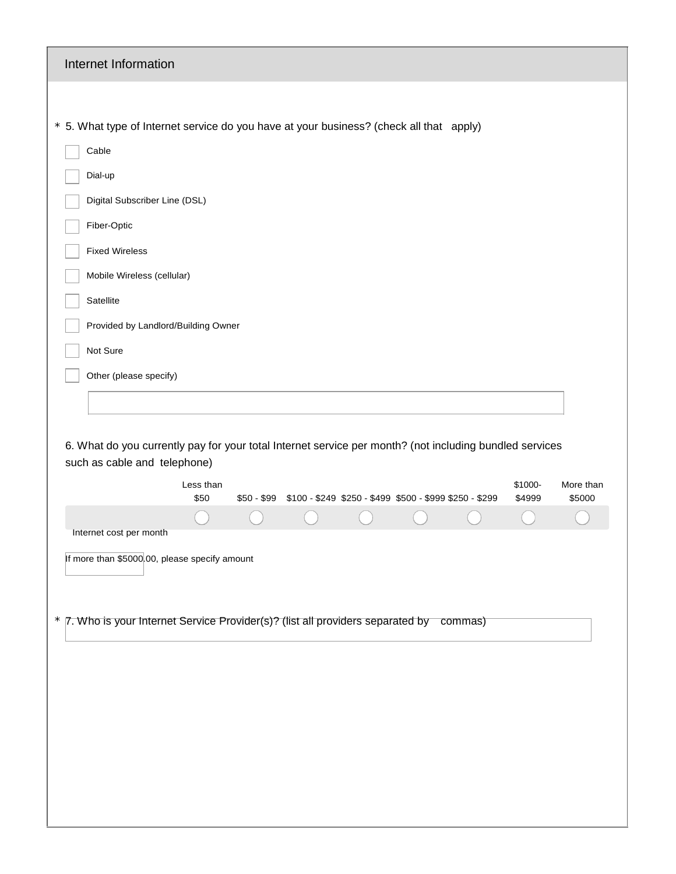| Internet Information                                                                                                                    |           |
|-----------------------------------------------------------------------------------------------------------------------------------------|-----------|
|                                                                                                                                         |           |
| * 5. What type of Internet service do you have at your business? (check all that apply)                                                 |           |
| Cable                                                                                                                                   |           |
| Dial-up                                                                                                                                 |           |
| Digital Subscriber Line (DSL)                                                                                                           |           |
| Fiber-Optic                                                                                                                             |           |
| <b>Fixed Wireless</b>                                                                                                                   |           |
| Mobile Wireless (cellular)                                                                                                              |           |
| Satellite                                                                                                                               |           |
| Provided by Landlord/Building Owner                                                                                                     |           |
| Not Sure                                                                                                                                |           |
| Other (please specify)                                                                                                                  |           |
|                                                                                                                                         |           |
|                                                                                                                                         |           |
| 6. What do you currently pay for your total Internet service per month? (not including bundled services<br>such as cable and telephone) |           |
| \$1000-<br>Less than                                                                                                                    | More than |
| \$50 - \$99<br>\$100 - \$249 \$250 - \$499 \$500 - \$999 \$250 - \$299<br>\$4999<br>\$50                                                | \$5000    |
| Internet cost per month                                                                                                                 |           |
| If more than \$5000.00, please specify amount                                                                                           |           |
|                                                                                                                                         |           |
| * 7. Who is your Internet Service Provider(s)? (list all providers separated by commas)                                                 |           |
|                                                                                                                                         |           |
|                                                                                                                                         |           |
|                                                                                                                                         |           |
|                                                                                                                                         |           |
|                                                                                                                                         |           |
|                                                                                                                                         |           |
|                                                                                                                                         |           |
|                                                                                                                                         |           |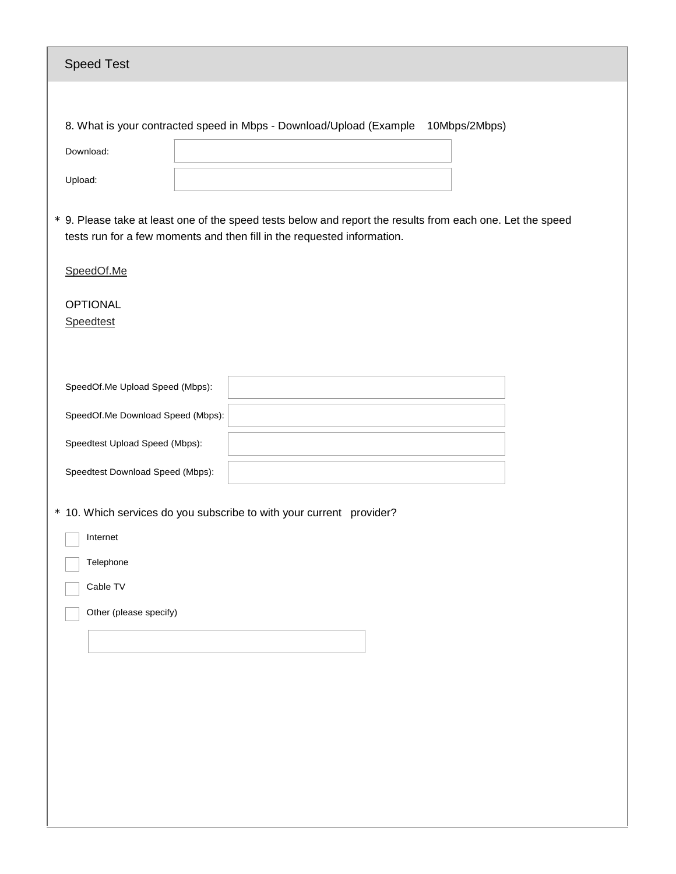| <b>Speed Test</b>                                                                                                                                                                     |
|---------------------------------------------------------------------------------------------------------------------------------------------------------------------------------------|
|                                                                                                                                                                                       |
| 8. What is your contracted speed in Mbps - Download/Upload (Example<br>10Mbps/2Mbps)                                                                                                  |
| Download:                                                                                                                                                                             |
| Upload:                                                                                                                                                                               |
| * 9. Please take at least one of the speed tests below and report the results from each one. Let the speed<br>tests run for a few moments and then fill in the requested information. |
| SpeedOf.Me                                                                                                                                                                            |
| <b>OPTIONAL</b><br>Speedtest                                                                                                                                                          |
| SpeedOf.Me Upload Speed (Mbps):                                                                                                                                                       |
| SpeedOf.Me Download Speed (Mbps):                                                                                                                                                     |
| Speedtest Upload Speed (Mbps):                                                                                                                                                        |
| Speedtest Download Speed (Mbps):                                                                                                                                                      |
| * 10. Which services do you subscribe to with your current provider?<br>Internet<br>Telephone<br>Cable TV<br>Other (please specify)                                                   |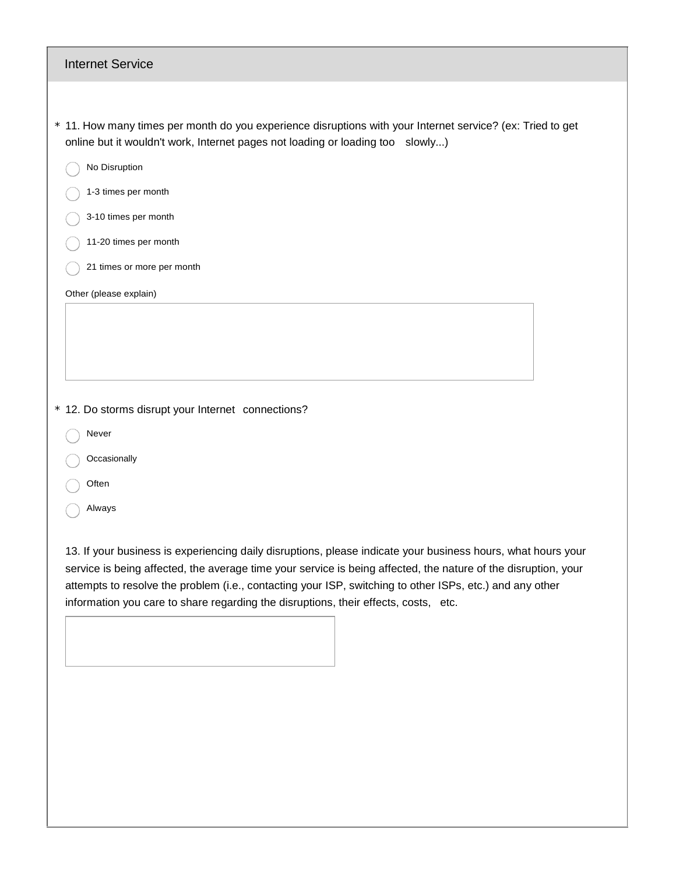| <b>Internet Service</b>                                                                                                                                                                                                                                                                                                                                                                                                           |
|-----------------------------------------------------------------------------------------------------------------------------------------------------------------------------------------------------------------------------------------------------------------------------------------------------------------------------------------------------------------------------------------------------------------------------------|
|                                                                                                                                                                                                                                                                                                                                                                                                                                   |
| * 11. How many times per month do you experience disruptions with your Internet service? (ex: Tried to get<br>online but it wouldn't work, Internet pages not loading or loading too slowly)                                                                                                                                                                                                                                      |
| No Disruption                                                                                                                                                                                                                                                                                                                                                                                                                     |
| 1-3 times per month                                                                                                                                                                                                                                                                                                                                                                                                               |
| 3-10 times per month                                                                                                                                                                                                                                                                                                                                                                                                              |
| 11-20 times per month                                                                                                                                                                                                                                                                                                                                                                                                             |
| 21 times or more per month                                                                                                                                                                                                                                                                                                                                                                                                        |
| Other (please explain)                                                                                                                                                                                                                                                                                                                                                                                                            |
|                                                                                                                                                                                                                                                                                                                                                                                                                                   |
| * 12. Do storms disrupt your Internet connections?                                                                                                                                                                                                                                                                                                                                                                                |
| Never                                                                                                                                                                                                                                                                                                                                                                                                                             |
| Occasionally                                                                                                                                                                                                                                                                                                                                                                                                                      |
| Often                                                                                                                                                                                                                                                                                                                                                                                                                             |
| Always                                                                                                                                                                                                                                                                                                                                                                                                                            |
| 13. If your business is experiencing daily disruptions, please indicate your business hours, what hours your<br>service is being affected, the average time your service is being affected, the nature of the disruption, your<br>attempts to resolve the problem (i.e., contacting your ISP, switching to other ISPs, etc.) and any other<br>information you care to share regarding the disruptions, their effects, costs, etc. |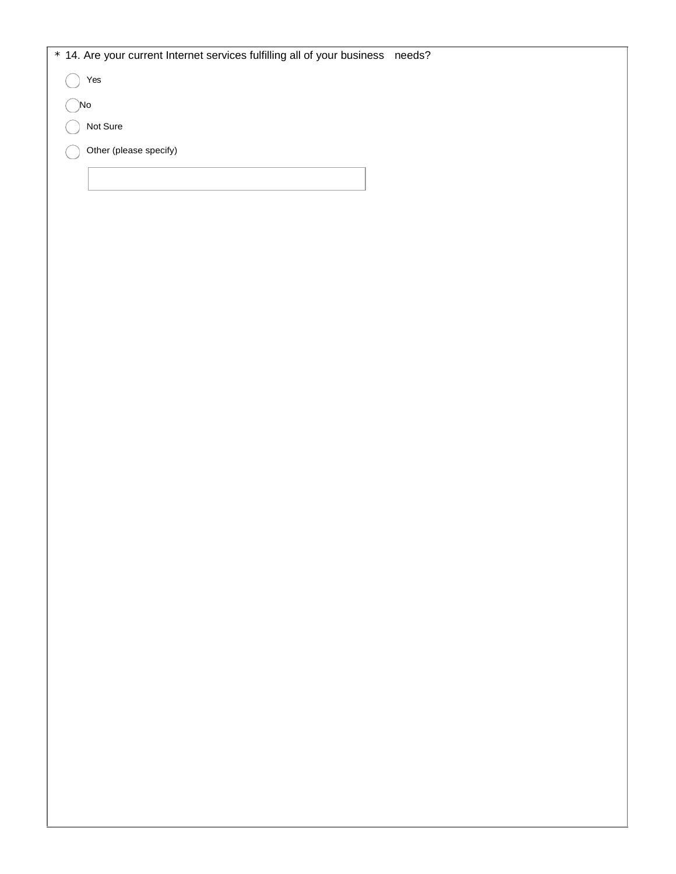| * 14. Are your current Internet services fulfilling all of your business needs? |  |
|---------------------------------------------------------------------------------|--|
| Yes                                                                             |  |
| )No                                                                             |  |
| Not Sure                                                                        |  |
| Other (please specify)                                                          |  |
|                                                                                 |  |
|                                                                                 |  |
|                                                                                 |  |
|                                                                                 |  |
|                                                                                 |  |
|                                                                                 |  |
|                                                                                 |  |
|                                                                                 |  |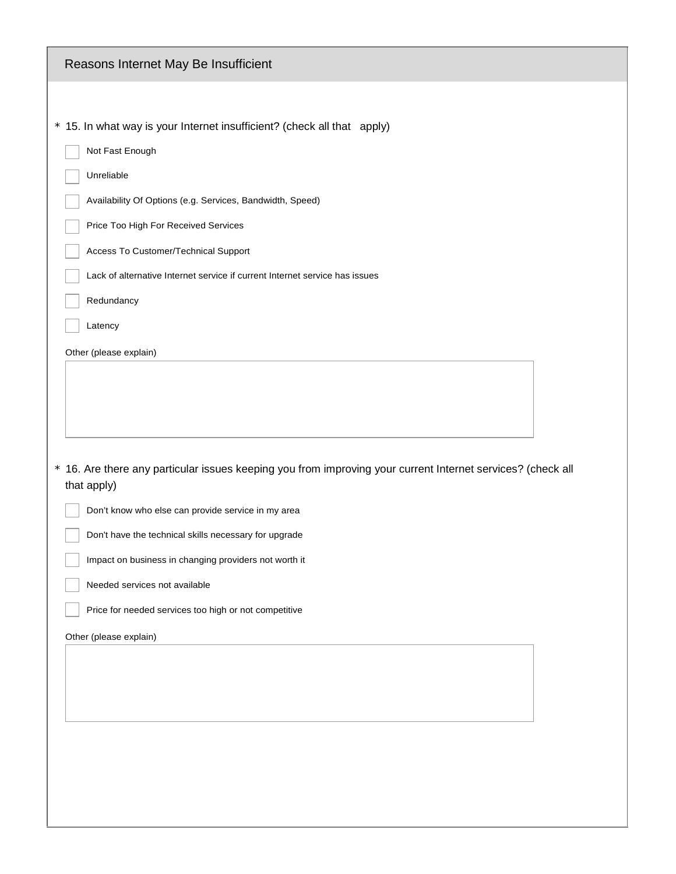| Reasons Internet May Be Insufficient                                                                                       |  |  |
|----------------------------------------------------------------------------------------------------------------------------|--|--|
|                                                                                                                            |  |  |
| * 15. In what way is your Internet insufficient? (check all that apply)                                                    |  |  |
| Not Fast Enough                                                                                                            |  |  |
| Unreliable                                                                                                                 |  |  |
| Availability Of Options (e.g. Services, Bandwidth, Speed)                                                                  |  |  |
| Price Too High For Received Services                                                                                       |  |  |
| Access To Customer/Technical Support                                                                                       |  |  |
| Lack of alternative Internet service if current Internet service has issues                                                |  |  |
| Redundancy                                                                                                                 |  |  |
| Latency                                                                                                                    |  |  |
| Other (please explain)                                                                                                     |  |  |
| * 16. Are there any particular issues keeping you from improving your current Internet services? (check all<br>that apply) |  |  |
| Don't know who else can provide service in my area                                                                         |  |  |
| Don't have the technical skills necessary for upgrade                                                                      |  |  |
| Impact on business in changing providers not worth it                                                                      |  |  |
| Needed services not available                                                                                              |  |  |
| Price for needed services too high or not competitive                                                                      |  |  |
| Other (please explain)                                                                                                     |  |  |
|                                                                                                                            |  |  |
|                                                                                                                            |  |  |
|                                                                                                                            |  |  |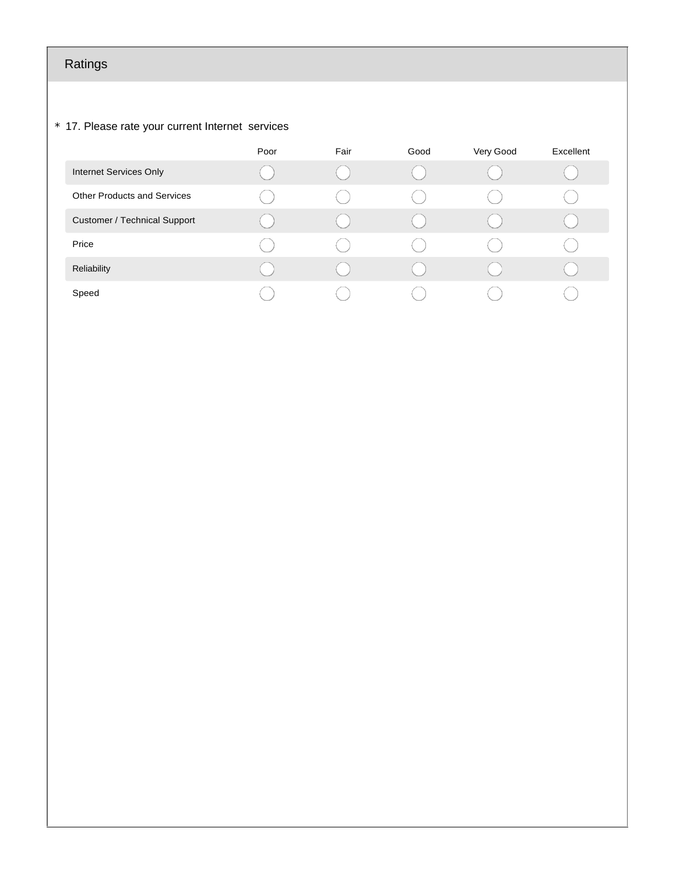# Ratings

#### \* 17. Please rate your current Internet services

|                                     | Poor | Fair | Good | Very Good | Excellent |
|-------------------------------------|------|------|------|-----------|-----------|
| Internet Services Only              |      |      |      |           |           |
| <b>Other Products and Services</b>  |      |      |      |           |           |
| <b>Customer / Technical Support</b> |      |      |      |           |           |
| Price                               |      |      |      |           |           |
| Reliability                         |      |      |      |           |           |
| Speed                               |      |      |      |           |           |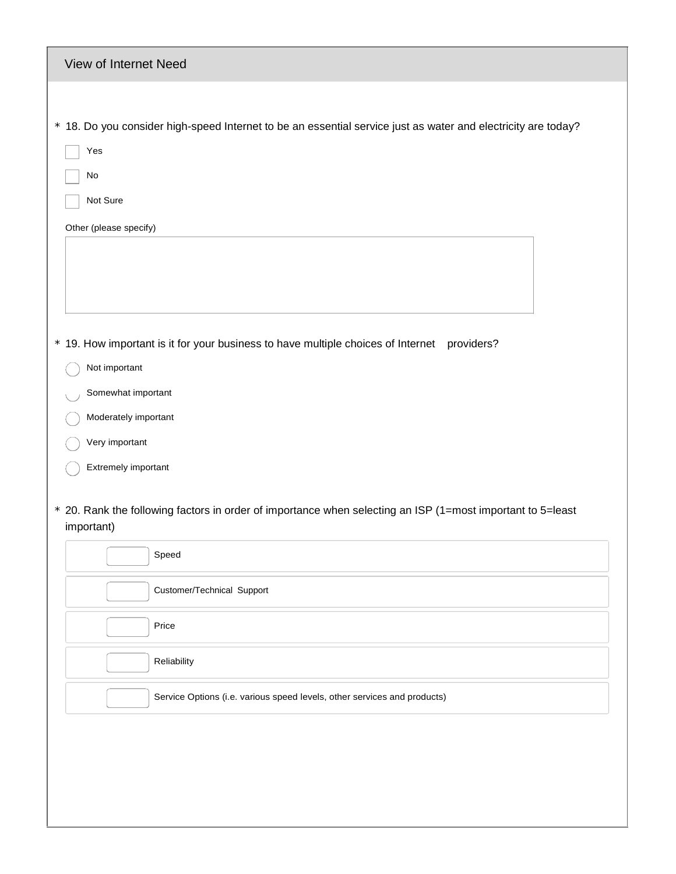| View of Internet Need                                                                                                                                                                                                                                                                                                |
|----------------------------------------------------------------------------------------------------------------------------------------------------------------------------------------------------------------------------------------------------------------------------------------------------------------------|
| * 18. Do you consider high-speed Internet to be an essential service just as water and electricity are today?<br>Yes<br>No<br>Not Sure<br>Other (please specify)                                                                                                                                                     |
| * 19. How important is it for your business to have multiple choices of Internet<br>providers?<br>Not important<br>Somewhat important<br>Moderately important<br>Very important<br>Extremely important<br>* 20. Rank the following factors in order of importance when selecting an ISP (1=most important to 5=least |
| important)<br>Speed                                                                                                                                                                                                                                                                                                  |
| Customer/Technical Support                                                                                                                                                                                                                                                                                           |
| Price                                                                                                                                                                                                                                                                                                                |
| Reliability                                                                                                                                                                                                                                                                                                          |
| Service Options (i.e. various speed levels, other services and products)                                                                                                                                                                                                                                             |
|                                                                                                                                                                                                                                                                                                                      |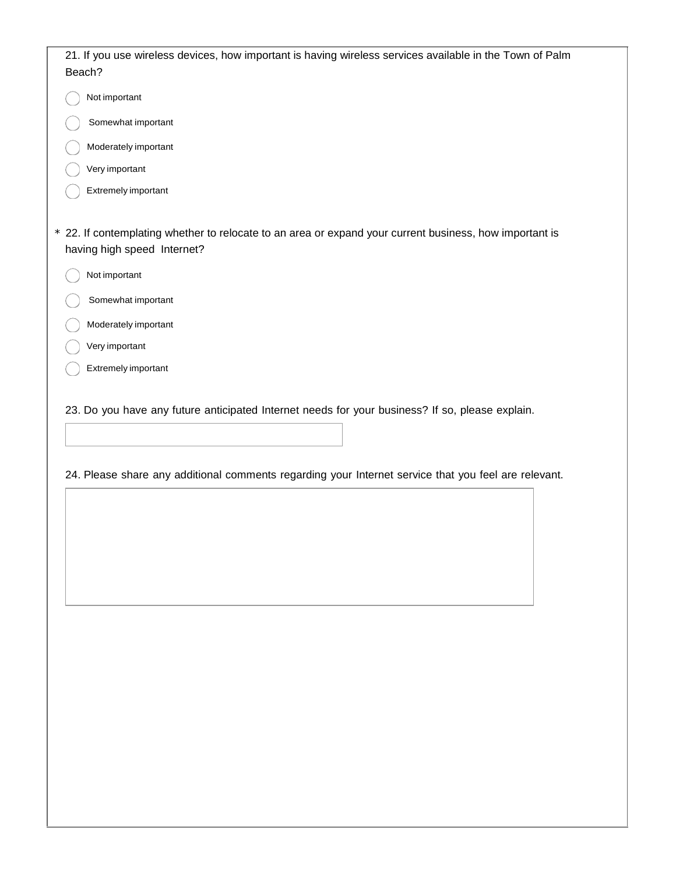| 21. If you use wireless devices, how important is having wireless services available in the Town of Palm                               |
|----------------------------------------------------------------------------------------------------------------------------------------|
| Beach?                                                                                                                                 |
| Not important                                                                                                                          |
| Somewhat important                                                                                                                     |
| Moderately important                                                                                                                   |
| Very important                                                                                                                         |
| Extremely important                                                                                                                    |
|                                                                                                                                        |
| * 22. If contemplating whether to relocate to an area or expand your current business, how important is<br>having high speed Internet? |
| Not important                                                                                                                          |
| Somewhat important                                                                                                                     |
| Moderately important                                                                                                                   |
| Very important                                                                                                                         |
| Extremely important                                                                                                                    |
|                                                                                                                                        |
| 23. Do you have any future anticipated Internet needs for your business? If so, please explain.                                        |
|                                                                                                                                        |
|                                                                                                                                        |

24. Please share any additional comments regarding your Internet service that you feel are relevant.